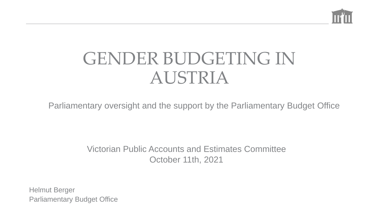

### GENDER BUDGETING IN AUSTRIA

Parliamentary oversight and the support by the Parliamentary Budget Office

Victorian Public Accounts and Estimates Committee October 11th, 2021

Helmut Berger Parliamentary Budget Office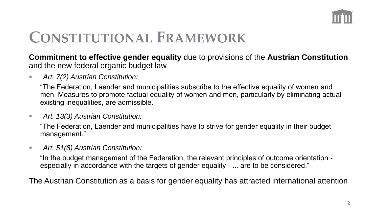

#### **CONSTITUTIONAL FRAMEWORK**

**Commitment to effective gender equality** due to provisions of the **Austrian Constitution**  and the new federal organic budget law

■ *Art. 7(2) Austrian Constitution:* 

"The Federation, Laender and municipalities subscribe to the effective equality of women and men. Measures to promote factual equality of women and men, particularly by eliminating actual existing inequalities, are admissible."

■ *Art. 13(3) Austrian Constitution:* 

"The Federation, Laender and municipalities have to strive for gender equality in their budget management."

▪ *Art. 51(8) Austrian Constitution:*

"In the budget management of the Federation, the relevant principles of outcome orientation especially in accordance with the targets of gender equality - ... are to be considered."

The Austrian Constitution as a basis for gender equality has attracted international attention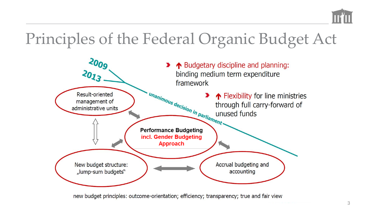

#### Principles of the Federal Organic Budget Act



new budget principles: outcome-orientation; efficiency; transparency; true and fair view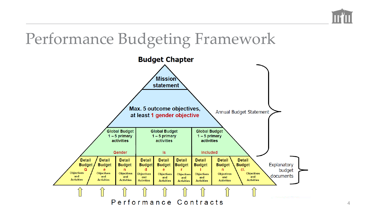

#### Performance Budgeting Framework

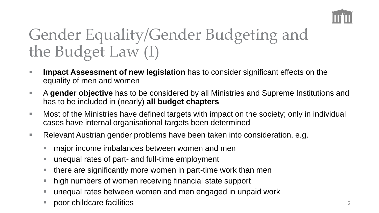

### Gender Equality/Gender Budgeting and the Budget Law (I)

- **Impact Assessment of new legislation** has to consider significant effects on the equality of men and women
- A **gender objective** has to be considered by all Ministries and Supreme Institutions and has to be included in (nearly) **all budget chapters**
- Most of the Ministries have defined targets with impact on the society; only in individual cases have internal organisational targets been determined
- Relevant Austrian gender problems have been taken into consideration, e.g.
	- major income imbalances between women and men
	- unequal rates of part- and full-time employment
	- there are significantly more women in part-time work than men
	- high numbers of women receiving financial state support
	- unequal rates between women and men engaged in unpaid work
	- poor childcare facilities 55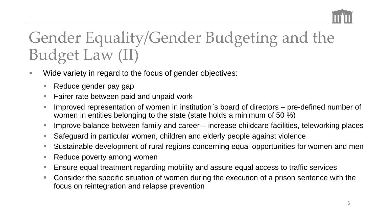

#### Gender Equality/Gender Budgeting and the Budget Law (II)

- Wide variety in regard to the focus of gender objectives:
	- Reduce gender pay gap
	- Fairer rate between paid and unpaid work
	- Improved representation of women in institution's board of directors pre-defined number of women in entities belonging to the state (state holds a minimum of 50 %)
	- Improve balance between family and career increase childcare facilities, teleworking places
	- Safeguard in particular women, children and elderly people against violence
	- Sustainable development of rural regions concerning equal opportunities for women and men
	- Reduce poverty among women
	- Ensure equal treatment regarding mobility and assure equal access to traffic services
	- Consider the specific situation of women during the execution of a prison sentence with the focus on reintegration and relapse prevention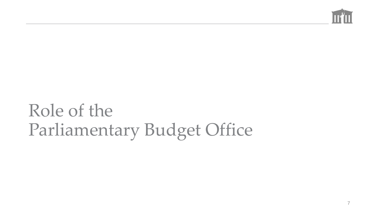

## Role of the Parliamentary Budget Office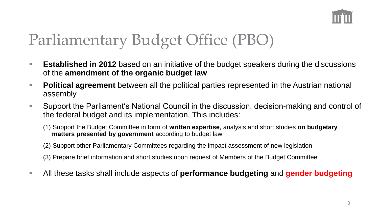

### Parliamentary Budget Office (PBO)

- **Established in 2012** based on an initiative of the budget speakers during the discussions of the **amendment of the organic budget law**
- Political agreement between all the political parties represented in the Austrian national assembly
- Support the Parliament's National Council in the discussion, decision-making and control of the federal budget and its implementation. This includes:
	- (1) Support the Budget Committee in form of **written expertise**, analysis and short studies **on budgetary matters presented by government** according to budget law
	- (2) Support other Parliamentary Committees regarding the impact assessment of new legislation
	- (3) Prepare brief information and short studies upon request of Members of the Budget Committee
- All these tasks shall include aspects of **performance budgeting** and **gender budgeting**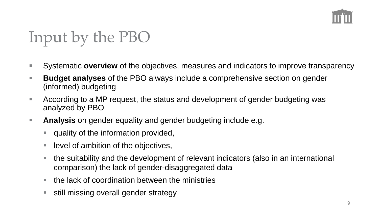

### Input by the PBO

- Systematic **overview** of the objectives, measures and indicators to improve transparency
- **Budget analyses** of the PBO always include a comprehensive section on gender (informed) budgeting
- $\blacksquare$  According to a MP request, the status and development of gender budgeting was analyzed by PBO
- **Analysis** on gender equality and gender budgeting include e.g.
	- quality of the information provided,
	- level of ambition of the objectives,
	- the suitability and the development of relevant indicators (also in an international comparison) the lack of gender-disaggregated data
	- the lack of coordination between the ministries
	- still missing overall gender strategy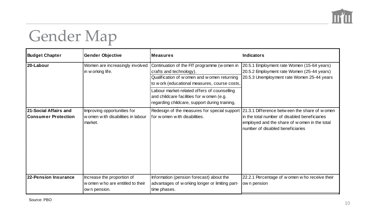

### Gender Map

| <b>Budget Chapter</b>                               | <b>Gender Objective</b>                                                         | <b>Measures</b>                                                                                                                                                                                                                                                                                                      | <b>Indicators</b>                                                                                                                                                                  |
|-----------------------------------------------------|---------------------------------------------------------------------------------|----------------------------------------------------------------------------------------------------------------------------------------------------------------------------------------------------------------------------------------------------------------------------------------------------------------------|------------------------------------------------------------------------------------------------------------------------------------------------------------------------------------|
| 20-Labour                                           | Women are increasingly involved<br>in w orking life.                            | Continuation of the FIT programme (w omen in<br>crafts and technology).<br>Qualification of w omen and w omen returning<br>to w ork (educational measures, course costs,<br>Labour market-related offers of counselling<br>and childcare facilities for women (e.g.<br>regarding childcare, support during training, | 20.5.1 Employment rate Women (15-64 years)<br>20.5.2 Employment rate Women (25-44 years)<br>20.5.3 Unemployment rate Women 25-44 years                                             |
| 21-Social Affairs and<br><b>Consumer Protection</b> | Improving opportunities for<br>w omen w ith disabilities in labour<br>market.   | Redesign of the measures for special support<br>for w omen w ith disabilities.                                                                                                                                                                                                                                       | 21.3.1 Difference between the share of women<br>in the total number of disabled beneficiaries<br>employed and the share of w omen in the total<br>number of disabled beneficiaries |
| 22-Pension Insurance                                | Increase the proportion of<br>w omen w ho are entitled to their<br>own pension. | Information (pension forecast) about the<br>advantages of w orking longer or limiting part-<br>time phases.                                                                                                                                                                                                          | 22.2.1 Percentage of w omen w ho receive their<br>ow n pension                                                                                                                     |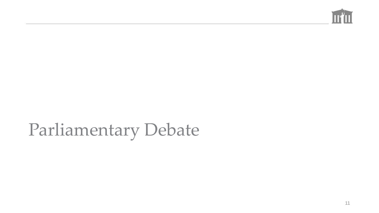

# Parliamentary Debate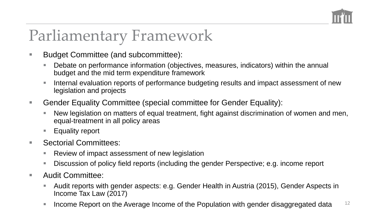

#### Parliamentary Framework

- Budget Committee (and subcommittee):
	- Debate on performance information (objectives, measures, indicators) within the annual budget and the mid term expenditure framework
	- Internal evaluation reports of performance budgeting results and impact assessment of new legislation and projects
- Gender Equality Committee (special committee for Gender Equality):
	- New legislation on matters of equal treatment, fight against discrimination of women and men, equal-treatment in all policy areas
	- Equality report
- Sectorial Committees:
	- Review of impact assessment of new legislation
	- Discussion of policy field reports (including the gender Perspective; e.g. income report
- Audit Committee:
	- Audit reports with gender aspects: e.g. Gender Health in Austria (2015), Gender Aspects in Income Tax Law (2017)
	- **E** Income Report on the Average Income of the Population with gender disaggregated data  $12$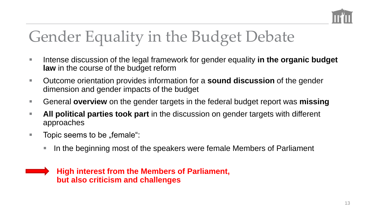

#### Gender Equality in the Budget Debate

- Intense discussion of the legal framework for gender equality in the organic budget **law** in the course of the budget reform
- Outcome orientation provides information for a **sound discussion** of the gender dimension and gender impacts of the budget
- General **overview** on the gender targets in the federal budget report was **missing**
- **EXTU All political parties took part** in the discussion on gender targets with different approaches
- $\blacksquare$  Topic seems to be "female":
	- In the beginning most of the speakers were female Members of Parliament

#### **High interest from the Members of Parliament, but also criticism and challenges**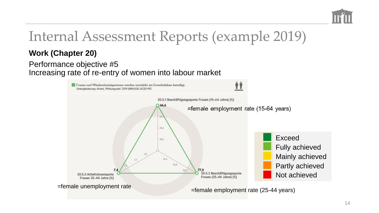

#### Internal Assessment Reports (example 2019)

#### **Work (Chapter 20)**

#### Performance objective #5 Increasing rate of re-entry of women into labour market

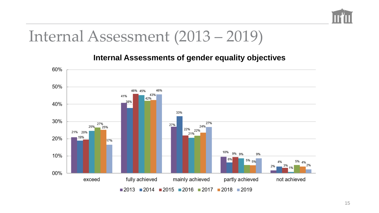

#### Internal Assessment (2013 – 2019)

#### **Internal Assessments of gender equality objectives**

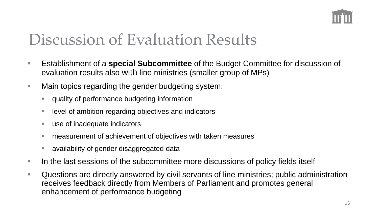

#### Discussion of Evaluation Results

- Establishment of a **special Subcommittee** of the Budget Committee for discussion of evaluation results also with line ministries (smaller group of MPs)
- Main topics regarding the gender budgeting system:
	- quality of performance budgeting information
	- level of ambition regarding objectives and indicators
	- use of inadequate indicators
	- measurement of achievement of objectives with taken measures
	- availability of gender disaggregated data
- In the last sessions of the subcommittee more discussions of policy fields itself
- Questions are directly answered by civil servants of line ministries; public administration receives feedback directly from Members of Parliament and promotes general enhancement of performance budgeting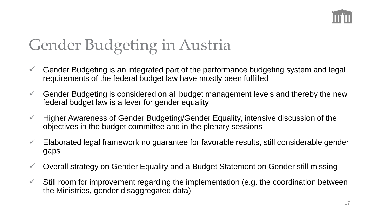

#### Gender Budgeting in Austria

- $\checkmark$  Gender Budgeting is an integrated part of the performance budgeting system and legal requirements of the federal budget law have mostly been fulfilled
- $\checkmark$  Gender Budgeting is considered on all budget management levels and thereby the new federal budget law is a lever for gender equality
- ✓ Higher Awareness of Gender Budgeting/Gender Equality, intensive discussion of the objectives in the budget committee and in the plenary sessions
- $\checkmark$  Elaborated legal framework no guarantee for favorable results, still considerable gender gaps
- ✓ Overall strategy on Gender Equality and a Budget Statement on Gender still missing
- $\checkmark$  Still room for improvement regarding the implementation (e.g. the coordination between the Ministries, gender disaggregated data)